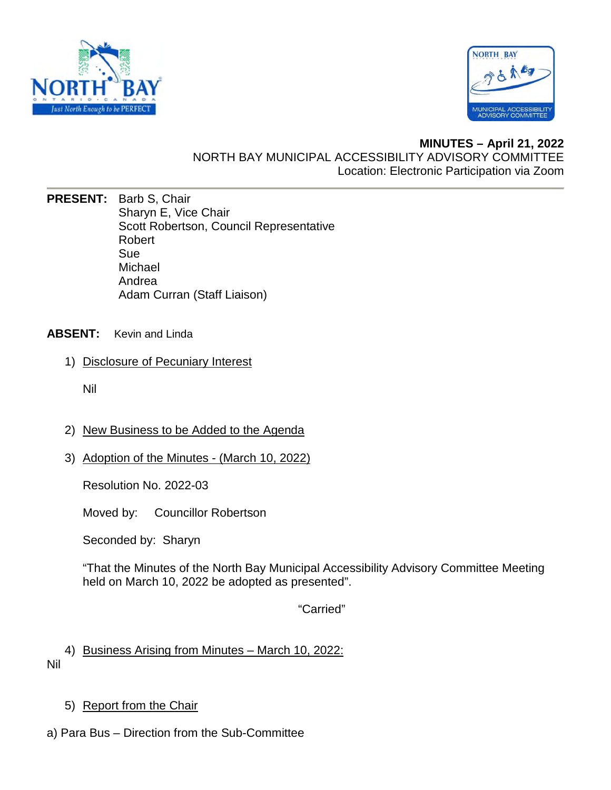



## **MINUTES – April 21, 2022**  NORTH BAY MUNICIPAL ACCESSIBILITY ADVISORY COMMITTEE Location: Electronic Participation via Zoom

**PRESENT:** Barb S, Chair Sharyn E, Vice Chair Scott Robertson, Council Representative Robert Sue Michael Andrea Adam Curran (Staff Liaison)

## **ABSENT:** Kevin and Linda

1) Disclosure of Pecuniary Interest

Nil

- 2) New Business to be Added to the Agenda
- 3) Adoption of the Minutes (March 10, 2022)

Resolution No. 2022-03

Moved by: Councillor Robertson

Seconded by: Sharyn

"That the Minutes of the North Bay Municipal Accessibility Advisory Committee Meeting held on March 10, 2022 be adopted as presented".

"Carried"

4) Business Arising from Minutes – March 10, 2022: Nil

- 5) Report from the Chair
- a) Para Bus Direction from the Sub-Committee